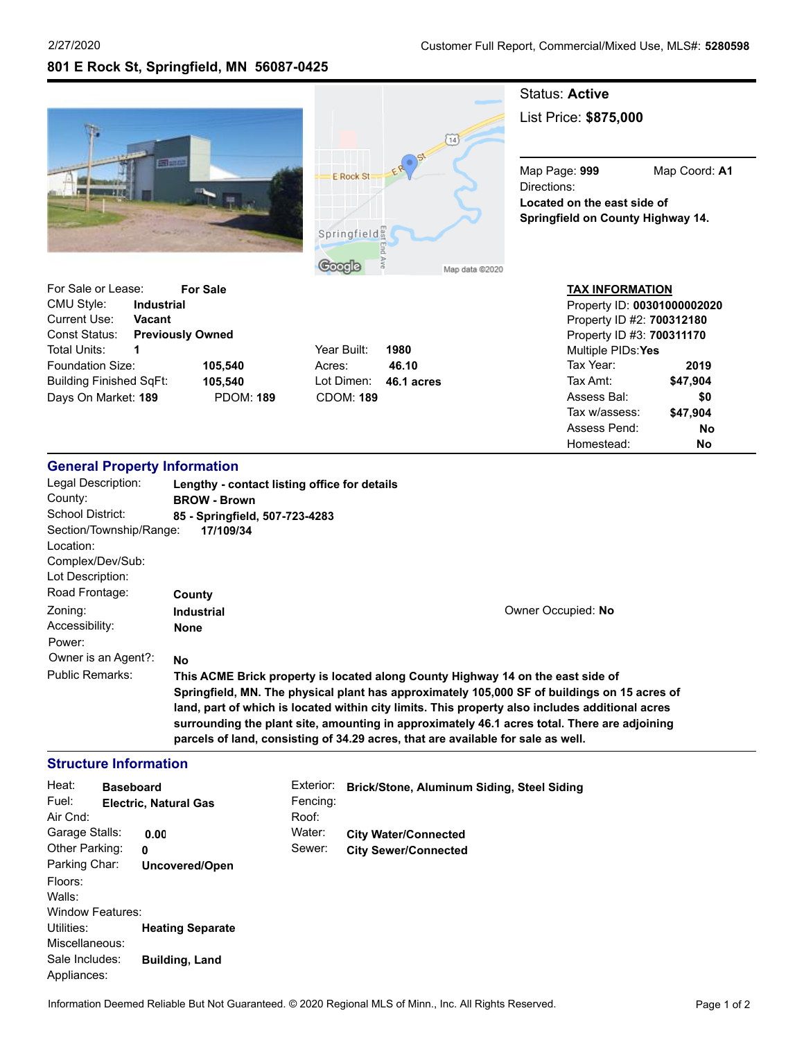**801 E Rock St, Springfield, MN 56087-0425**





# Status: **Active**

List Price: **\$875,000**

Map Page: **999** Map Coord: **A1** Directions: **Located on the east side of Springfield on County Highway 14.**

| For Sale or Lease:      |                         | <b>For Sale</b>  |                  |        |
|-------------------------|-------------------------|------------------|------------------|--------|
| CMU Style:              | <b>Industrial</b>       |                  |                  |        |
| Current Use:            | <b>Vacant</b>           |                  |                  |        |
| Const Status:           | <b>Previously Owned</b> |                  |                  |        |
| Total Units:            |                         |                  | Year Built:      | 1980   |
| Foundation Size:        |                         | 105.540          | Acres:           | 46.10  |
| Building Finished SgFt: |                         | 105.540          | Lot Dimen:       | 46.1 a |
| Days On Market: 189     |                         | <b>PDOM: 189</b> | <b>CDOM: 189</b> |        |

Year Built: **1980** Lot Dimen: **46.1 acres** Days On Market: **189** PDOM: **189** CDOM: **189**

#### **TAX INFORMATION** Property ID: **00301000002020**

| <b>I TUDEITA ID. 0000 IUUUUUZUZU</b> |          |  |  |  |
|--------------------------------------|----------|--|--|--|
| Property ID #2: 700312180            |          |  |  |  |
| Property ID #3: 700311170            |          |  |  |  |
| Multiple PIDs:Yes                    |          |  |  |  |
| Tax Year:                            | 2019     |  |  |  |
| Tax Amt:                             | \$47,904 |  |  |  |
| Assess Bal:                          | \$0      |  |  |  |
| Tax w/assess:                        | \$47,904 |  |  |  |
| Assess Pend:                         | N٥       |  |  |  |
| Homestead:                           | N٥       |  |  |  |

## **General Property Information**

| Legal Description:      | Lengthy - contact listing office for details                                                                                                                                     |                    |  |  |
|-------------------------|----------------------------------------------------------------------------------------------------------------------------------------------------------------------------------|--------------------|--|--|
| County:                 | <b>BROW - Brown</b>                                                                                                                                                              |                    |  |  |
| School District:        | 85 - Springfield, 507-723-4283                                                                                                                                                   |                    |  |  |
| Section/Township/Range: | 17/109/34                                                                                                                                                                        |                    |  |  |
| Location:               |                                                                                                                                                                                  |                    |  |  |
| Complex/Dev/Sub:        |                                                                                                                                                                                  |                    |  |  |
| Lot Description:        |                                                                                                                                                                                  |                    |  |  |
| Road Frontage:          | County                                                                                                                                                                           |                    |  |  |
| Zoning:                 | <b>Industrial</b>                                                                                                                                                                | Owner Occupied: No |  |  |
| Accessibility:          | <b>None</b>                                                                                                                                                                      |                    |  |  |
| Power:                  |                                                                                                                                                                                  |                    |  |  |
| Owner is an Agent?:     | <b>No</b>                                                                                                                                                                        |                    |  |  |
| <b>Public Remarks:</b>  | This ACME Brick property is located along County Highway 14 on the east side of                                                                                                  |                    |  |  |
|                         | Springfield, MN. The physical plant has approximately 105,000 SF of buildings on 15 acres of                                                                                     |                    |  |  |
|                         | land, part of which is located within city limits. This property also includes additional acres                                                                                  |                    |  |  |
|                         | surrounding the plant site, amounting in approximately 46.1 acres total. There are adjoining<br>parcels of land, consisting of 34.29 acres, that are available for sale as well. |                    |  |  |
|                         |                                                                                                                                                                                  |                    |  |  |

#### **Structure Information**

| Heat:<br>Fuel:<br>Air Cnd:    | <b>Baseboard</b> | <b>Electric, Natural Gas</b> | Exterior:<br>Fencing:<br>Roof: | Brick/Stone, Aluminum Siding, Steel Siding |
|-------------------------------|------------------|------------------------------|--------------------------------|--------------------------------------------|
| Garage Stalls:                |                  | 0.00                         | Water:                         | <b>City Water/Connected</b>                |
| Other Parking:                |                  | 0                            | Sewer:                         | <b>City Sewer/Connected</b>                |
| Parking Char:                 |                  | Uncovered/Open               |                                |                                            |
| Floors:                       |                  |                              |                                |                                            |
| Walls:                        |                  |                              |                                |                                            |
| Window Features:              |                  |                              |                                |                                            |
| Utilities:                    |                  | <b>Heating Separate</b>      |                                |                                            |
| Miscellaneous:                |                  |                              |                                |                                            |
| Sale Includes:<br>Appliances: |                  | <b>Building, Land</b>        |                                |                                            |